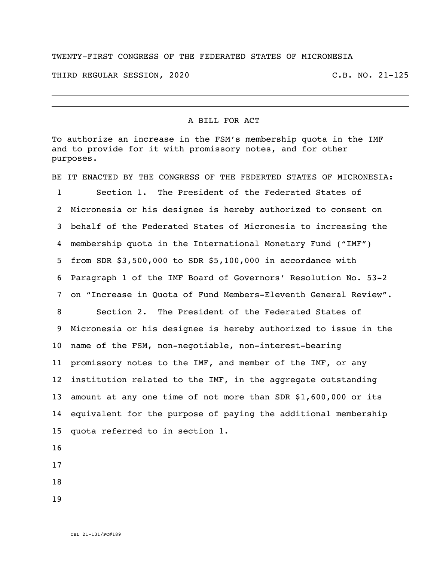## TWENTY-FIRST CONGRESS OF THE FEDERATED STATES OF MICRONESIA

THIRD REGULAR SESSION, 2020 C.B. NO. 21-125

## A BILL FOR ACT

To authorize an increase in the FSM's membership quota in the IMF and to provide for it with promissory notes, and for other purposes.

BE IT ENACTED BY THE CONGRESS OF THE FEDERTED STATES OF MICRONESIA: Section 1. The President of the Federated States of Micronesia or his designee is hereby authorized to consent on behalf of the Federated States of Micronesia to increasing the membership quota in the International Monetary Fund ("IMF") from SDR \$3,500,000 to SDR \$5,100,000 in accordance with Paragraph 1 of the IMF Board of Governors' Resolution No. 53-2 on "Increase in Quota of Fund Members-Eleventh General Review". Section 2. The President of the Federated States of Micronesia or his designee is hereby authorized to issue in the name of the FSM, non-negotiable, non-interest-bearing promissory notes to the IMF, and member of the IMF, or any institution related to the IMF, in the aggregate outstanding amount at any one time of not more than SDR \$1,600,000 or its equivalent for the purpose of paying the additional membership quota referred to in section 1. 

- 
-